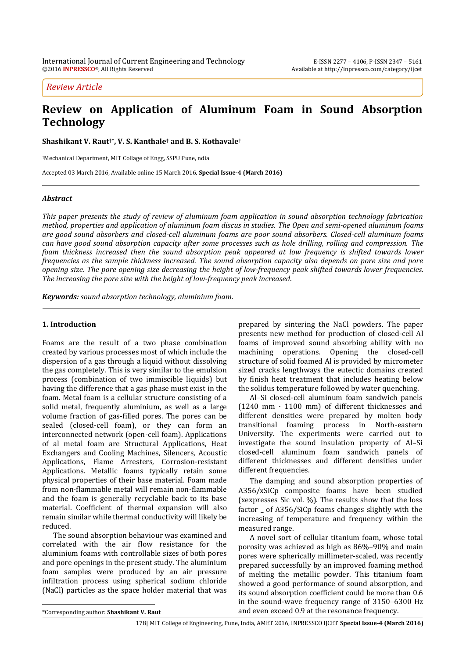*Review Article*

# **Review on Application of Aluminum Foam in Sound Absorption Technology**

**Shashikant V. Raut†\* , V. S. Kanthale† and B. S. Kothavale†**

†Mechanical Department, MIT Collage of Engg, SSPU Pune, ndia

Accepted 03 March 2016, Available online 15 March 2016, **Special Issue-4 (March 2016)**

#### *Abstract*

*This paper presents the study of review of aluminum foam application in sound absorption technology fabrication method, properties and application of aluminum foam discus in studies. The Open and semi-opened aluminum foams are good sound absorbers and closed-cell aluminum foams are poor sound absorbers. Closed-cell aluminum foams can have good sound absorption capacity after some processes such as hole drilling, rolling and compression. The foam thickness increased then the sound absorption peak appeared at low frequency is shifted towards lower frequencies as the sample thickness increased. The sound absorption capacity also depends on pore size and pore opening size. The pore opening size decreasing the height of low-frequency peak shifted towards lower frequencies. The increasing the pore size with the height of low-frequency peak increased*.

*Keywords: sound absorption technology, aluminium foam.*

#### **1. Introduction**

Foams are the result of a two phase combination created by various processes most of which include the dispersion of a gas through a liquid without dissolving the gas completely. This is very similar to the emulsion process (combination of two immiscible liquids) but having the difference that a gas phase must exist in the foam. Metal foam is a cellular structure consisting of a solid metal, frequently aluminium, as well as a large volume fraction of gas-filled pores. The pores can be sealed (closed-cell foam), or they can form an interconnected network (open-cell foam). Applications of al metal foam are Structural Applications, Heat Exchangers and Cooling Machines, Silencers, Acoustic Applications, Flame Arresters, Corrosion-resistant Applications. Metallic foams typically retain some physical properties of their base material. Foam made from non-flammable metal will remain non-flammable and the foam is generally recyclable back to its base material. Coefficient of thermal expansion will also remain similar while thermal conductivity will likely be reduced.

The sound absorption behaviour was examined and correlated with the air flow resistance for the aluminium foams with controllable sizes of both pores and pore openings in the present study. The aluminium foam samples were produced by an air pressure infiltration process using spherical sodium chloride (NaCl) particles as the space holder material that was prepared by sintering the NaCl powders. The paper presents new method for production of closed-cell Al foams of improved sound absorbing ability with no machining operations. Opening the closed-cell structure of solid foamed Al is provided by micrometer sized cracks lengthways the eutectic domains created by finish heat treatment that includes heating below the solidus temperature followed by water quenching.

Al–Si closed-cell aluminum foam sandwich panels (1240 mm  $\cdot$  1100 mm) of different thicknesses and different densities were prepared by molten body transitional foaming process in North-eastern University. The experiments were carried out to investigate the sound insulation property of Al–Si closed-cell aluminum foam sandwich panels of different thicknesses and different densities under different frequencies.

The damping and sound absorption properties of A356/xSiCp composite foams have been studied (xexpresses Sic vol. %). The results show that the loss factor \_ of A356/SiCp foams changes slightly with the increasing of temperature and frequency within the measured range.

A novel sort of cellular titanium foam, whose total porosity was achieved as high as 86%–90% and main pores were spherically millimeter-scaled, was recently prepared successfully by an improved foaming method of melting the metallic powder. This titanium foam showed a good performance of sound absorption, and its sound absorption coefficient could be more than 0.6 in the sound-wave frequency range of 3150–6300 Hz and even exceed 0.9 at the resonance frequency.

\*Corresponding author: **Shashikant V. Raut**

 $\overline{a}$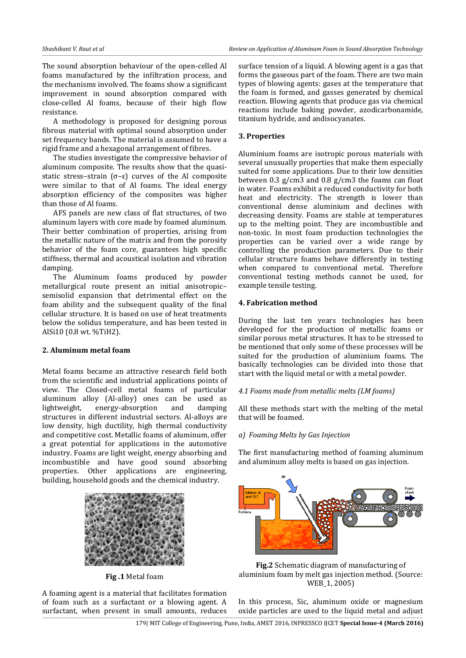The sound absorption behaviour of the open-celled Al foams manufactured by the infiltration process, and the mechanisms involved. The foams show a significant improvement in sound absorption compared with close-celled Al foams, because of their high flow resistance.

A methodology is proposed for designing porous fibrous material with optimal sound absorption under set frequency bands. The material is assumed to have a rigid frame and a hexagonal arrangement of fibres.

The studies investigate the compressive behavior of aluminum composite. The results show that the quasistatic stress–strain (σ–ε) curves of the Al composite were similar to that of Al foams. The ideal energy absorption efficiency of the composites was higher than those of Al foams.

AFS panels are new class of flat structures, of two aluminum layers with core made by foamed aluminum. Their better combination of properties, arising from the metallic nature of the matrix and from the porosity behavior of the foam core, guarantees high specific stiffness, thermal and acoustical isolation and vibration damping.

The Aluminum foams produced by powder metallurgical route present an initial anisotropic– semisolid expansion that detrimental effect on the foam ability and the subsequent quality of the final cellular structure. It is based on use of heat treatments below the solidus temperature, and has been tested in AlSi10 (0.8 wt. %TiH2).

#### **2. Aluminum metal foam**

Metal foams became an attractive research field both from the scientific and industrial applications points of view. The Closed-cell metal foams of particular aluminum alloy (Al-alloy) ones can be used as lightweight, energy-absorption and damping structures in different industrial sectors. Al-alloys are low density, high ductility, high thermal conductivity and competitive cost. Metallic foams of aluminum, offer a great potential for applications in the automotive industry. Foams are light weight, energy absorbing and incombustible and have good sound absorbing properties. Other applications are engineering, building, household goods and the chemical industry.



**Fig .1** Metal foam

A foaming agent is a material that facilitates formation of foam such as a surfactant or a blowing agent. A surfactant, when present in small amounts, reduces surface tension of a liquid. A blowing agent is a gas that forms the gaseous part of the foam. There are two main types of blowing agents: gases at the temperature that the foam is formed, and gasses generated by chemical reaction. Blowing agents that produce gas via chemical reactions include baking powder, azodicarbonamide, titanium hydride, and andisocyanates.

## **3. Properties**

Aluminium foams are isotropic porous materials with several unusually properties that make them especially suited for some applications. Due to their low densities between 0.3 g/cm3 and 0.8 g/cm3 the foams can float in water. Foams exhibit a reduced conductivity for both heat and electricity. The strength is lower than conventional dense aluminium and declines with decreasing density. Foams are stable at temperatures up to the melting point. They are incombustible and non-toxic. In most foam production technologies the properties can be varied over a wide range by controlling the production parameters. Due to their cellular structure foams behave differently in testing when compared to conventional metal. Therefore conventional testing methods cannot be used, for example tensile testing.

### **4. Fabrication method**

During the last ten years technologies has been developed for the production of metallic foams or similar porous metal structures. It has to be stressed to be mentioned that only some of these processes will be suited for the production of aluminium foams. The basically technologies can be divided into those that start with the liquid metal or with a metal powder.

# *4.1 Foams made from metallic melts (LM foams)*

All these methods start with the melting of the metal that will be foamed.

### *a) Foaming Melts by Gas Injection*

The first manufacturing method of foaming aluminum and aluminum alloy melts is based on gas injection.





In this process, Sic, aluminum oxide or magnesium oxide particles are used to the liquid metal and adjust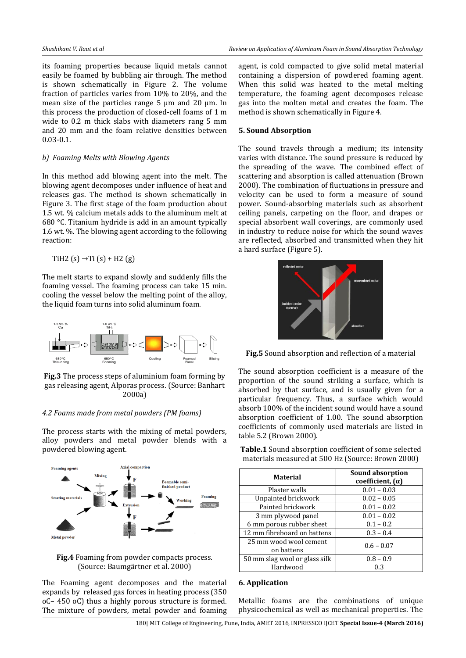its foaming properties because liquid metals cannot easily be foamed by bubbling air through. The method is shown schematically in Figure 2. The volume fraction of particles varies from 10% to 20%, and the mean size of the particles range 5 μm and 20 μm. In this process the production of closed-cell foams of 1 m wide to 0.2 m thick slabs with diameters rang 5 mm and 20 mm and the foam relative densities between 0.03-0.1.

#### *b) Foaming Melts with Blowing Agents*

In this method add blowing agent into the melt. The blowing agent decomposes under influence of heat and releases gas. The method is shown schematically in Figure 3. The first stage of the foam production about 1.5 wt. % calcium metals adds to the aluminum melt at 680 °C. Titanium hydride is add in an amount typically 1.6 wt. %. The blowing agent according to the following reaction:

TiH2 (s)  $\rightarrow$  Ti (s) + H2 (g)

The melt starts to expand slowly and suddenly fills the foaming vessel. The foaming process can take 15 min. cooling the vessel below the melting point of the alloy, the liquid foam turns into solid aluminum foam.



**Fig.3** The process steps of aluminium foam forming by gas releasing agent, Alporas process. (Source: Banhart 2000a)

#### *4.2 Foams made from metal powders (PM foams)*

The process starts with the mixing of metal powders, alloy powders and metal powder blends with a powdered blowing agent.



**Fig.4** Foaming from powder compacts process. (Source: Baumgärtner et al. 2000)

The Foaming agent decomposes and the material expands by released gas forces in heating process (350 oC– 450 oC) thus a highly porous structure is formed. The mixture of powders, metal powder and foaming agent, is cold compacted to give solid metal material containing a dispersion of powdered foaming agent. When this solid was heated to the metal melting temperature, the foaming agent decomposes release gas into the molten metal and creates the foam. The method is shown schematically in Figure 4.

#### **5. Sound Absorption**

The sound travels through a medium; its intensity varies with distance. The sound pressure is reduced by the spreading of the wave. The combined effect of scattering and absorption is called attenuation (Brown 2000). The combination of fluctuations in pressure and velocity can be used to form a measure of sound power. Sound-absorbing materials such as absorbent ceiling panels, carpeting on the floor, and drapes or special absorbent wall coverings, are commonly used in industry to reduce noise for which the sound waves are reflected, absorbed and transmitted when they hit a hard surface (Figure 5).



**Fig.5** Sound absorption and reflection of a material

The sound absorption coefficient is a measure of the proportion of the sound striking a surface, which is absorbed by that surface, and is usually given for a particular frequency. Thus, a surface which would absorb 100% of the incident sound would have a sound absorption coefficient of 1.00. The sound absorption coefficients of commonly used materials are listed in table 5.2 (Brown 2000).

**Table.1** Sound absorption coefficient of some selected materials measured at 500 Hz (Source: Brown 2000)

| <b>Material</b>                      | <b>Sound absorption</b><br>coefficient, $(\alpha)$ |
|--------------------------------------|----------------------------------------------------|
| Plaster walls                        | $0.01 - 0.03$                                      |
| Unpainted brickwork                  | $0.02 - 0.05$                                      |
| Painted brickwork                    | $0.01 - 0.02$                                      |
| 3 mm plywood panel                   | $0.01 - 0.02$                                      |
| 6 mm porous rubber sheet             | $0.1 - 0.2$                                        |
| 12 mm fibreboard on battens          | $0.3 - 0.4$                                        |
| 25 mm wood wool cement<br>on battens | $0.6 - 0.07$                                       |
| 50 mm slag wool or glass silk        | $0.8 - 0.9$                                        |
| Hardwood                             | 0.3                                                |

#### **6. Application**

Metallic foams are the combinations of unique physicochemical as well as mechanical properties. The